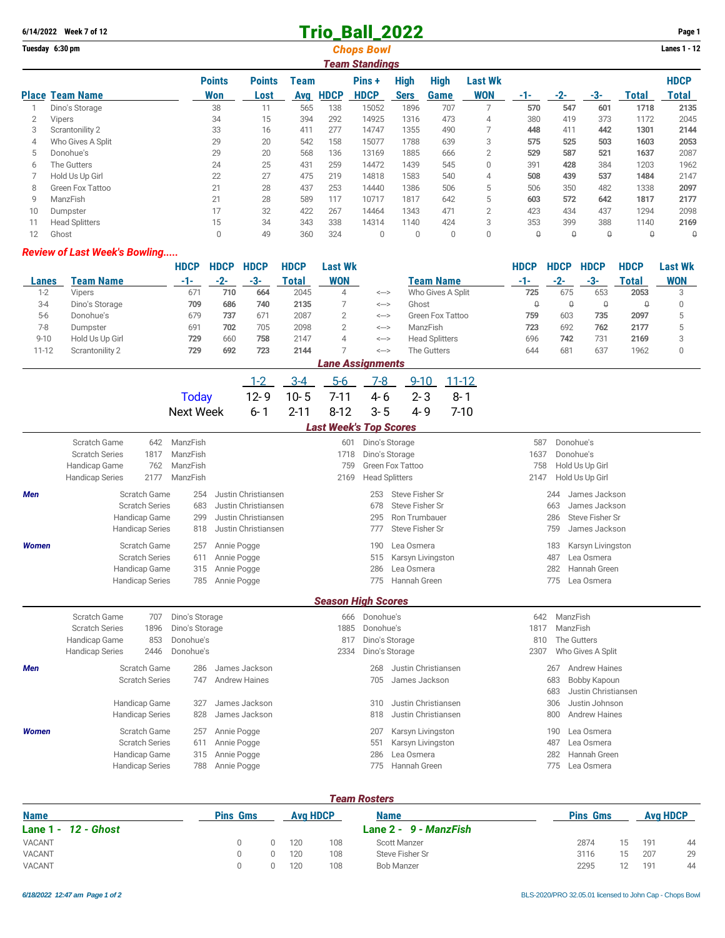# **6/14/2022 Week 7 of 12 Trio\_Ball\_2022 Page 1**

|    | Tuesday 6:30 pm<br><b>Chops Bowl</b><br>Team Standings |                      |                       |             |             |                       |                            |                     |                              |     |       |     |          |                             |  |
|----|--------------------------------------------------------|----------------------|-----------------------|-------------|-------------|-----------------------|----------------------------|---------------------|------------------------------|-----|-------|-----|----------|-----------------------------|--|
|    | <b>Place Team Name</b>                                 | <b>Points</b><br>Won | <b>Points</b><br>Lost | Team<br>Avg | <b>HDCP</b> | Pins +<br><b>HDCP</b> | <b>High</b><br><b>Sers</b> | <b>High</b><br>Game | <b>Last Wk</b><br><b>WON</b> | -1- | $-2-$ | -3- | Total    | <b>HDCP</b><br><b>Total</b> |  |
|    | Dino's Storage                                         | 38                   | 11                    | 565         | 138         | 15052                 | 1896                       | 707                 |                              | 570 | 547   | 601 | 1718     | 2135                        |  |
| 2  | Vipers                                                 | 34                   | 15                    | 394         | 292         | 14925                 | 1316                       | 473                 | 4                            | 380 | 419   | 373 | 1172     | 2045                        |  |
| 3  | Scrantonility 2                                        | 33                   | 16                    | 411         | 277         | 14747                 | 1355                       | 490                 |                              | 448 | 411   | 442 | 1301     | 2144                        |  |
| 4  | Who Gives A Split                                      | 29                   | 20                    | 542         | 158         | 15077                 | 1788                       | 639                 | 3                            | 575 | 525   | 503 | 1603     | 2053                        |  |
| 5  | Donohue's                                              | 29                   | 20                    | 568         | 136         | 13169                 | 1885                       | 666                 | $\overline{2}$               | 529 | 587   | 521 | 1637     | 2087                        |  |
| 6  | The Gutters                                            | 24                   | 25                    | 431         | 259         | 14472                 | 1439                       | 545                 | $\Omega$                     | 391 | 428   | 384 | 1203     | 1962                        |  |
|    | Hold Us Up Girl                                        | 22                   | 27                    | 475         | 219         | 14818                 | 1583                       | 540                 | 4                            | 508 | 439   | 537 | 1484     | 2147                        |  |
| 8  | Green Fox Tattoo                                       | 21                   | 28                    | 437         | 253         | 14440                 | 1386                       | 506                 | 5                            | 506 | 350   | 482 | 1338     | 2097                        |  |
| 9  | ManzFish                                               | 21                   | 28                    | 589         | 117         | 10717                 | 1817                       | 642                 | 5                            | 603 | 572   | 642 | 1817     | 2177                        |  |
| 10 | Dumpster                                               | 17                   | 32                    | 422         | 267         | 14464                 | 1343                       | 471                 | $\overline{2}$               | 423 | 434   | 437 | 1294     | 2098                        |  |
|    | <b>Head Splitters</b>                                  | 15                   | 34                    | 343         | 338         | 14314                 | 1140                       | 424                 | 3                            | 353 | 399   | 388 | 1140     | 2169                        |  |
| 12 | Ghost                                                  | 0                    | 49                    | 360         | 324         | $\mathbf{0}$          | 0                          | 0                   | $\Omega$                     | 0   | 0     | 0   | $\theta$ | $\theta$                    |  |

#### *Review of Last Week's Bowling.....*

|           |                 | <b>HDCP</b> | <b>HDCP</b> | <b>HDCP</b>  | <b>HDCP</b> | Last Wk                 |              |                       | <b>HDCP</b> | HDCP | <b>HDCP</b> | <b>HDCP</b>  | Last Wk    |
|-----------|-----------------|-------------|-------------|--------------|-------------|-------------------------|--------------|-----------------------|-------------|------|-------------|--------------|------------|
| Lanes     | Team Name       |             | $-2-$       | -3-          | Total       | <b>WON</b>              |              | <b>Team Name</b>      | -1-         |      | -3-         | <b>Total</b> | <b>WON</b> |
| $1 - 2$   | Vipers          | 671         | 710         | 664          | 2045        | 4                       | $\leftarrow$ | Who Gives A Split     | 725         | 675  | 653         | 2053         | ≘          |
| $3-4$     | Dino's Storage  | 709         | 686         | 740          | 2135        |                         | $\leftarrow$ | Ghost                 | Q           |      | $\theta$    | Q            |            |
| $5-6$     | Donohue's       | 679         | 737         | $67^{\circ}$ | 2087        |                         | $\leftarrow$ | Green Fox Tattoo      | 759         | 603  | 735         | 2097         |            |
| $7-8$     | Dumpster        | 691         | 702         | 705          | 2098        |                         | $\leftarrow$ | ManzFish              | 723         | 692  | 762         | 2177         |            |
| $9 - 10$  | Hold Us Up Girl | 729         | 660         | 758          | 2147        | 4                       | $\leftarrow$ | <b>Head Splitters</b> | 696         | 742  | 731         | 2169         |            |
| $11 - 12$ | Scrantonility 2 | 729         | 692         | 723          | 2144        |                         | $\leftarrow$ | The Gutters           | 644         | 681  | 637         | 1962         |            |
|           |                 |             |             |              |             | <b>Lane Assignments</b> |              |                       |             |      |             |              |            |

### 1-2 3-4 5-6 7-8 9-10 11-12 Today 12-9 10-5 7-11 4-6 2-3 8-1 Next Week 6-1 2-11 8-12 3-5 4-9 7-10 *Last Week's Top Scores* Scratch Game 642 ManzFish 601 Dino's Storage 587 Donohue's Scratch Series 1817 ManzFish 1718 Dino's Storage 1637 Donohue's Handicap Game 762 ManzFish 759 Green Fox Tattoo 758 Hold Us Up Girl Handicap Series 2177 ManzFish 2169 Head Splitters 2169 Head Splitters 2147 Hold Us Up Girl *Men* Scratch Game 254 Justin Christiansen 253 Steve Fisher Sr 244 James Jackson Scratch Series 683 Justin Christiansen 683 668 James Jackson 678 Steve Fisher Sr Handicap Game 299 Justin Christiansen 295 Ron Trumbauer 286 Steve Fisher Sr Handicap Series 818 Justin Christiansen 777 Steve Fisher Sr 759 James Jackson *Women* Scratch Game 257 Annie Pogge 190 Lea Osmera 183 Karsyn Livingston Scratch Series 611 Annie Pogge 515 Karsyn Livingston 1997 Lea Osmera Handicap Game 315 Annie Pogge 286 Lea Osmera 282 Hannah Green Handicap Series 785 Annie Pogge 775 Hannah Green 775 Lea Osmera *Season High Scores* Scratch Game 707 Dino's Storage 666 Donohue's 666 Donohue's 642 ManzFish Scratch Series 1896 Dino's Storage 1885 Donohue's 1885 Donohue's 1817 ManzFish

|       | Handicap Game<br>853<br><b>Handicap Series</b><br>2446 | Donohue's<br>Donohue's |                      | 817<br>2334 |     | Dino's Storage<br>Dino's Storage | 810<br>2307 | The Gutters<br>Who Gives A Split |
|-------|--------------------------------------------------------|------------------------|----------------------|-------------|-----|----------------------------------|-------------|----------------------------------|
| Men   | Scratch Game                                           | 286                    | James Jackson        |             | 268 | Justin Christiansen              | 267         | Andrew Haines                    |
|       | <b>Scratch Series</b>                                  | 747                    | <b>Andrew Haines</b> |             | 705 | James Jackson                    | 683         | Bobby Kapoun                     |
|       |                                                        |                        |                      |             |     |                                  | 683         | Justin Christiansen              |
|       | Handicap Game                                          | 327                    | James Jackson        |             | 310 | Justin Christiansen              | 306         | Justin Johnson                   |
|       | <b>Handicap Series</b>                                 | 828                    | James Jackson        |             | 818 | Justin Christiansen              | 800         | Andrew Haines                    |
| Women | Scratch Game                                           | 257                    | Annie Pogge          |             | 207 | Karsyn Livingston                | 190         | Lea Osmera                       |
|       | <b>Scratch Series</b>                                  | 611                    | Annie Pogge          |             | 551 | Karsyn Livingston                | 487         | Lea Osmera                       |
|       | Handicap Game                                          |                        | 315 Annie Pogge      |             | 286 | Lea Osmera                       | 282         | Hannah Green                     |
|       | Handicap Series                                        | 788                    | Annie Pogge          |             | 775 | Hannah Green                     | 775         | Lea Osmera                       |
|       |                                                        |                        |                      |             |     |                                  |             |                                  |

#### *Team Rosters*

| <b>Name</b>            | <b>Avg HDCP</b><br><b>Pins Gms</b> |  |     | <b>Name</b> | <b>Pins Gms</b>       | <b>Avg HDCP</b> |    |     |    |
|------------------------|------------------------------------|--|-----|-------------|-----------------------|-----------------|----|-----|----|
| Lane $1 - 12 - $ Ghost |                                    |  |     |             | Lane 2 - 9 - ManzFish |                 |    |     |    |
| VACANT                 |                                    |  | 120 | 108         | Scott Manzer          | 2874            | 15 | 191 | 44 |
| VACANT                 |                                    |  | 120 | 108         | Steve Fisher Sr       | 3116            | 15 | 207 | 29 |
| VACANT                 |                                    |  | 120 | 108         | <b>Bob Manzer</b>     | 2295            |    | 191 | 44 |